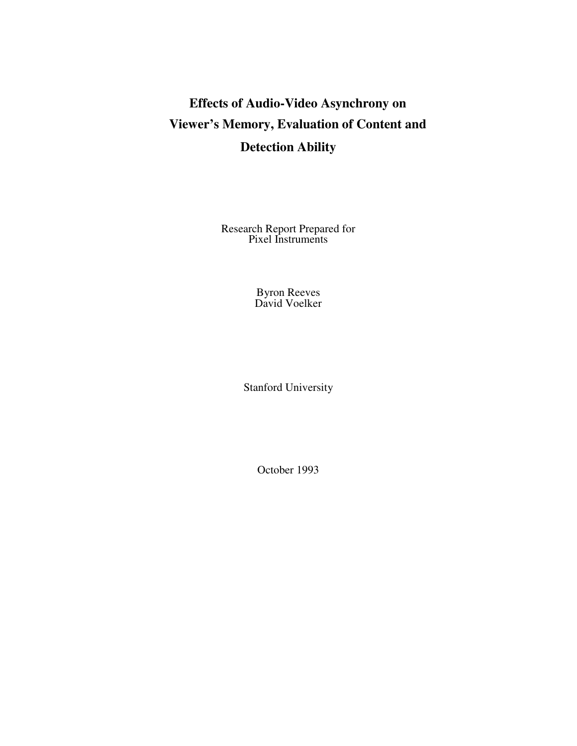# **Effects of Audio-Video Asynchrony on Viewer's Memory, Evaluation of Content and Detection Ability**

Research Report Prepared for Pixel Instruments

> Byron Reeves David Voelker

Stanford University

October 1993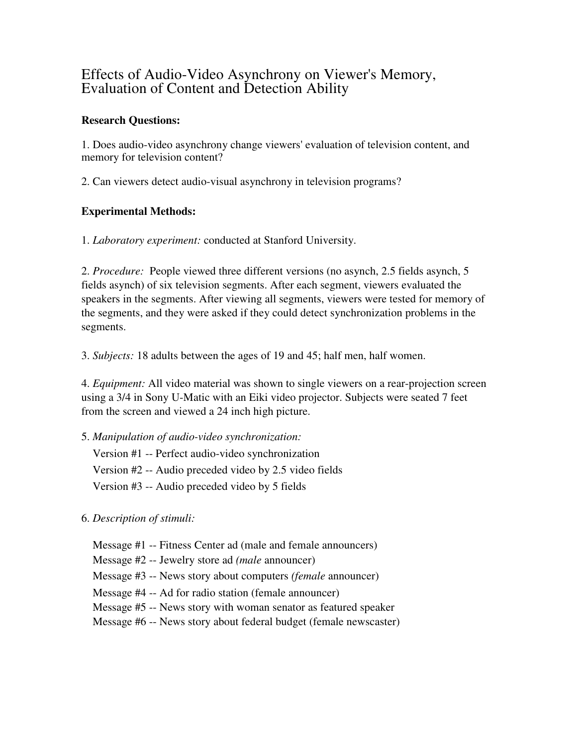# Effects of Audio-Video Asynchrony on Viewer's Memory, Evaluation of Content and Detection Ability

# **Research Questions:**

1. Does audio-video asynchrony change viewers' evaluation of television content, and memory for television content?

2. Can viewers detect audio-visual asynchrony in television programs?

# **Experimental Methods:**

1. *Laboratory experiment:* conducted at Stanford University.

2. *Procedure:* People viewed three different versions (no asynch, 2.5 fields asynch, 5 fields asynch) of six television segments. After each segment, viewers evaluated the speakers in the segments. After viewing all segments, viewers were tested for memory of the segments, and they were asked if they could detect synchronization problems in the segments.

3. *Subjects:* 18 adults between the ages of 19 and 45; half men, half women.

4. *Equipment:* All video material was shown to single viewers on a rear-projection screen using a 3/4 in Sony U-Matic with an Eiki video projector. Subjects were seated 7 feet from the screen and viewed a 24 inch high picture.

5. *Manipulation of audio-video synchronization:*

Version #1 -- Perfect audio-video synchronization Version #2 -- Audio preceded video by 2.5 video fields Version #3 -- Audio preceded video by 5 fields

6. *Description of stimuli:*

Message #1 -- Fitness Center ad (male and female announcers)

Message #2 -- Jewelry store ad *(male* announcer)

Message #3 -- News story about computers *(female* announcer)

Message #4 -- Ad for radio station (female announcer)

Message #5 -- News story with woman senator as featured speaker

Message #6 -- News story about federal budget (female newscaster)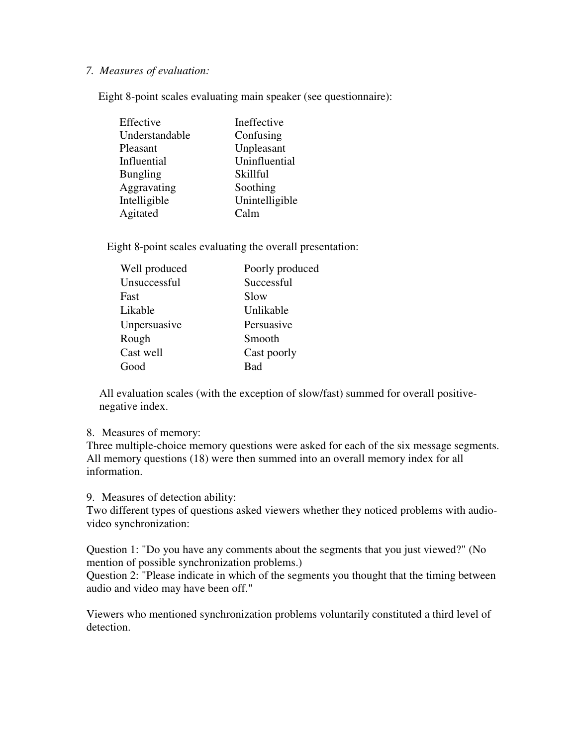#### *7. Measures of evaluation:*

Eight 8-point scales evaluating main speaker (see questionnaire):

| Effective       | Ineffective    |
|-----------------|----------------|
| Understandable  | Confusing      |
| Pleasant        | Unpleasant     |
| Influential     | Uninfluential  |
| <b>Bungling</b> | Skillful       |
| Aggravating     | Soothing       |
| Intelligible    | Unintelligible |
| Agitated        | Calm           |

Eight 8-point scales evaluating the overall presentation:

| Well produced | Poorly produced |
|---------------|-----------------|
| Unsuccessful  | Successful      |
| Fast          | Slow            |
| Likable       | Unlikable       |
| Unpersuasive  | Persuasive      |
| Rough         | Smooth          |
| Cast well     | Cast poorly     |
| Good          | Bad             |

All evaluation scales (with the exception of slow/fast) summed for overall positivenegative index.

#### 8. Measures of memory:

Three multiple-choice memory questions were asked for each of the six message segments. All memory questions (18) were then summed into an overall memory index for all information.

9. Measures of detection ability:

Two different types of questions asked viewers whether they noticed problems with audiovideo synchronization:

Question 1: "Do you have any comments about the segments that you just viewed?" (No mention of possible synchronization problems.)

Question 2: "Please indicate in which of the segments you thought that the timing between audio and video may have been off."

Viewers who mentioned synchronization problems voluntarily constituted a third level of detection.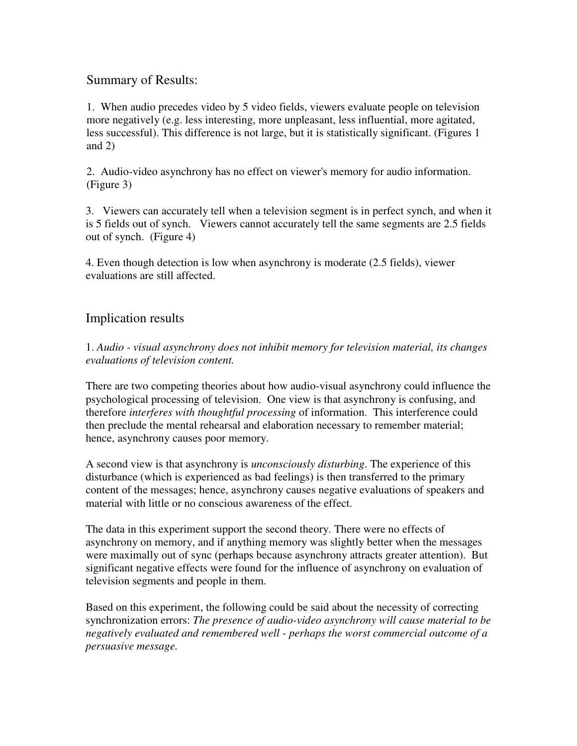# Summary of Results:

1. When audio precedes video by 5 video fields, viewers evaluate people on television more negatively (e.g. less interesting, more unpleasant, less influential, more agitated, less successful). This difference is not large, but it is statistically significant. (Figures 1 and 2)

2. Audio-video asynchrony has no effect on viewer's memory for audio information. (Figure 3)

3. Viewers can accurately tell when a television segment is in perfect synch, and when it is 5 fields out of synch. Viewers cannot accurately tell the same segments are 2.5 fields out of synch. (Figure 4)

4. Even though detection is low when asynchrony is moderate (2.5 fields), viewer evaluations are still affected.

# Implication results

1. *Audio - visual asynchrony does not inhibit memory for television material, its changes evaluations of television content.*

There are two competing theories about how audio-visual asynchrony could influence the psychological processing of television. One view is that asynchrony is confusing, and therefore *interferes with thoughtful processing* of information. This interference could then preclude the mental rehearsal and elaboration necessary to remember material; hence, asynchrony causes poor memory.

A second view is that asynchrony is *unconsciously disturbing*. The experience of this disturbance (which is experienced as bad feelings) is then transferred to the primary content of the messages; hence, asynchrony causes negative evaluations of speakers and material with little or no conscious awareness of the effect.

The data in this experiment support the second theory. There were no effects of asynchrony on memory, and if anything memory was slightly better when the messages were maximally out of sync (perhaps because asynchrony attracts greater attention). But significant negative effects were found for the influence of asynchrony on evaluation of television segments and people in them.

Based on this experiment, the following could be said about the necessity of correcting synchronization errors: *The presence of audio-video asynchrony will cause material to be negatively evaluated and remembered well - perhaps the worst commercial outcome of a persuasive message.*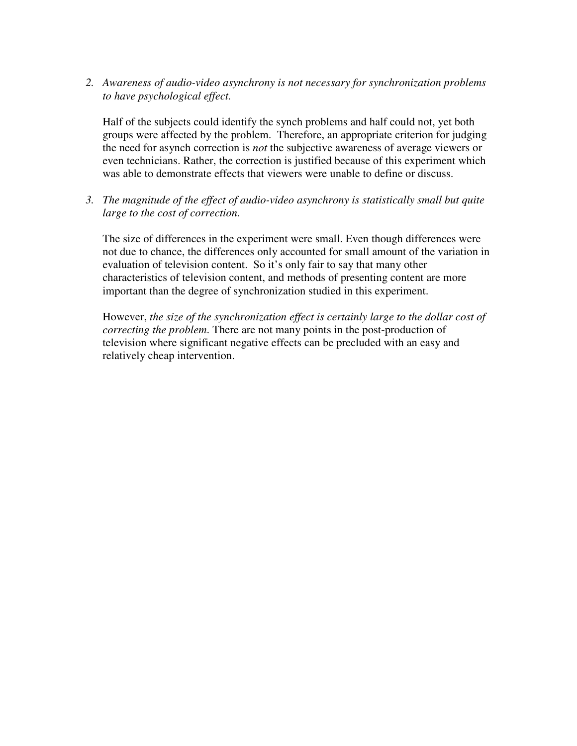*2. Awareness of audio-video asynchrony is not necessary for synchronization problems to have psychological effect.*

Half of the subjects could identify the synch problems and half could not, yet both groups were affected by the problem. Therefore, an appropriate criterion for judging the need for asynch correction is *not* the subjective awareness of average viewers or even technicians. Rather, the correction is justified because of this experiment which was able to demonstrate effects that viewers were unable to define or discuss.

*3. The magnitude of the effect of audio-video asynchrony is statistically small but quite large to the cost of correction.*

The size of differences in the experiment were small. Even though differences were not due to chance, the differences only accounted for small amount of the variation in evaluation of television content. So it's only fair to say that many other characteristics of television content, and methods of presenting content are more important than the degree of synchronization studied in this experiment.

However, *the size of the synchronization effect is certainly large to the dollar cost of correcting the problem*. There are not many points in the post-production of television where significant negative effects can be precluded with an easy and relatively cheap intervention.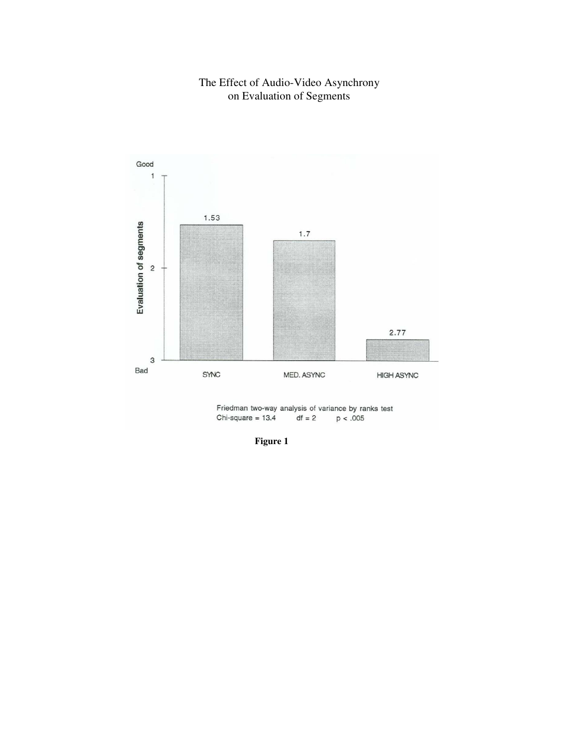#### The Effect of Audio-Video Asynchrony on Evaluation of Segments



**Figure 1**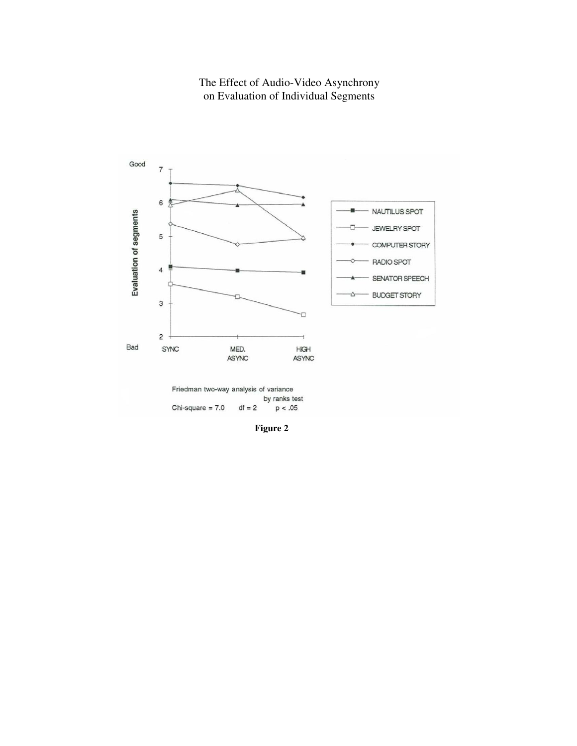#### The Effect of Audio-Video Asynchrony on Evaluation of Individual Segments



**Figure 2**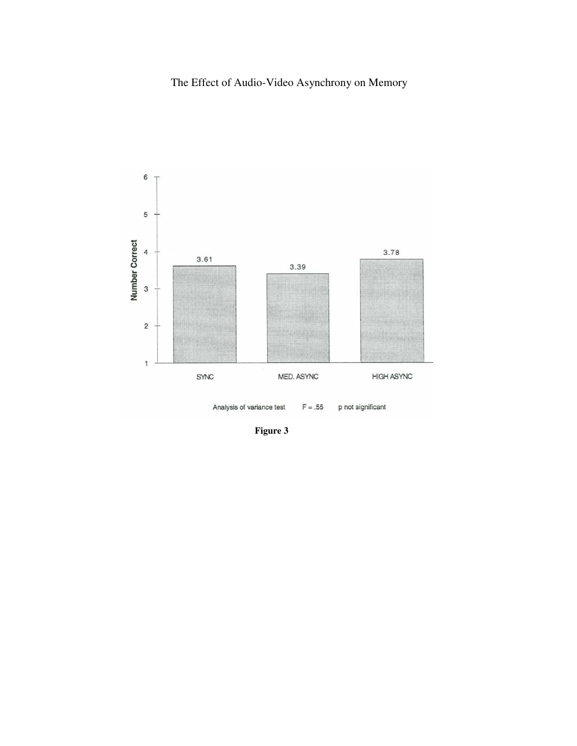# The Effect of Audio-Video Asynchrony on Memory



**Figure 3**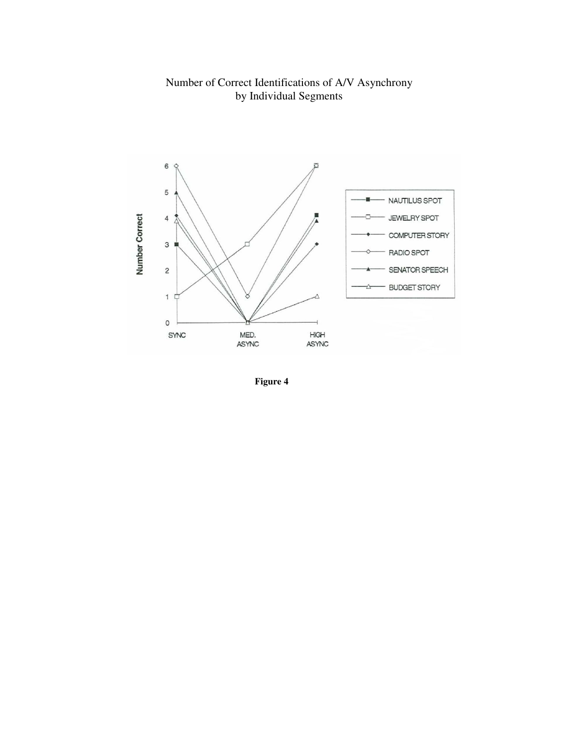#### Number of Correct Identifications of A/V Asynchrony by Individual Segments



**Figure 4**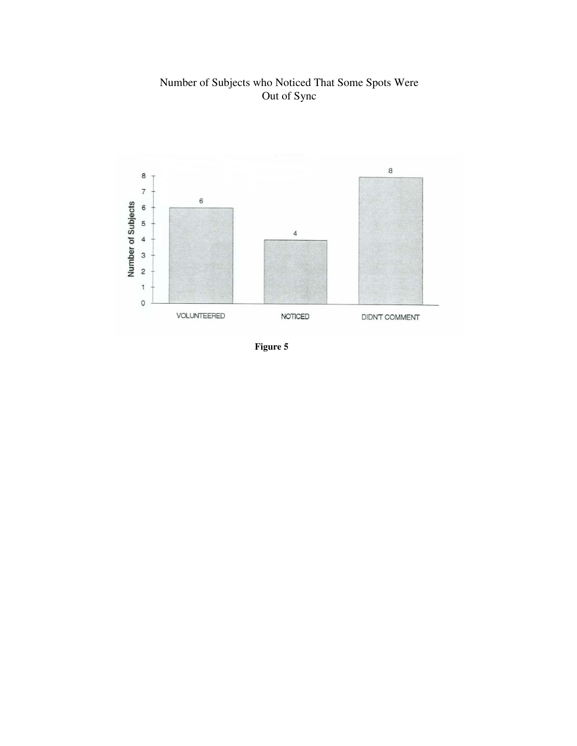#### Number of Subjects who Noticed That Some Spots Were Out of Sync



**Figure 5**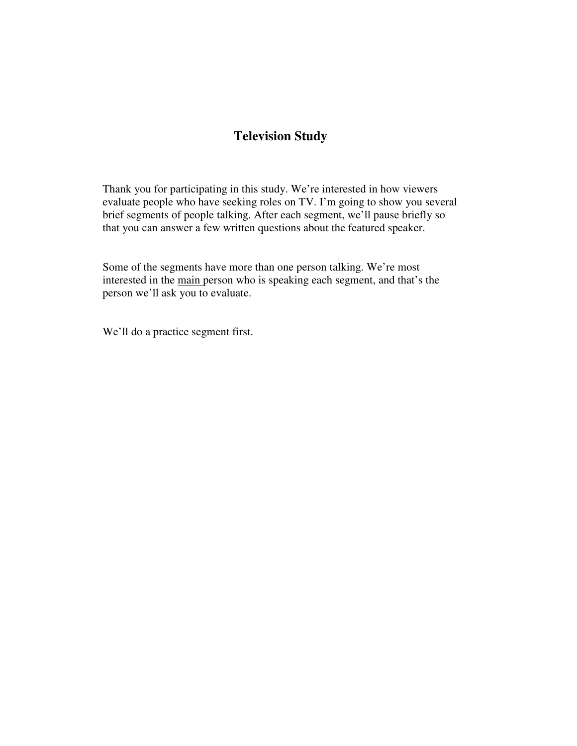# **Television Study**

Thank you for participating in this study. We're interested in how viewers evaluate people who have seeking roles on TV. I'm going to show you several brief segments of people talking. After each segment, we'll pause briefly so that you can answer a few written questions about the featured speaker.

Some of the segments have more than one person talking. We're most interested in the main person who is speaking each segment, and that's the person we'll ask you to evaluate.

We'll do a practice segment first.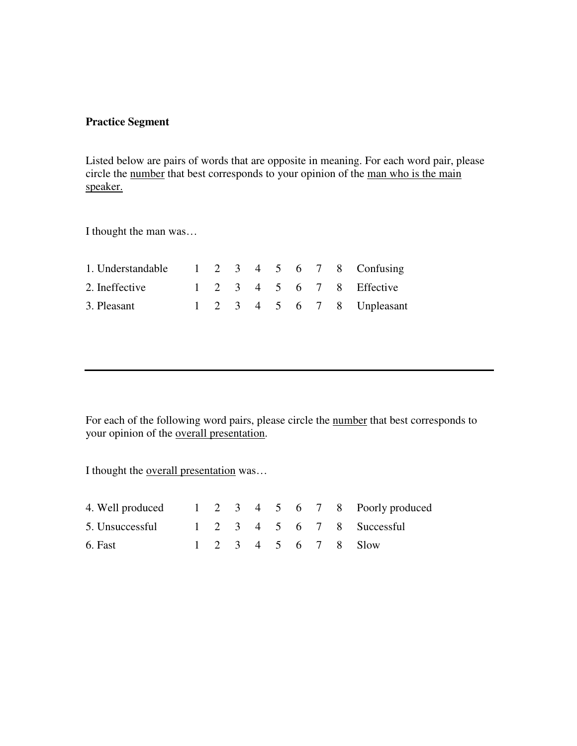## **Practice Segment**

Listed below are pairs of words that are opposite in meaning. For each word pair, please circle the <u>number</u> that best corresponds to your opinion of the <u>man who is the main</u> speaker.

I thought the man was…

| 1. Understandable $\begin{array}{cccccc} 1 & 2 & 3 & 4 & 5 & 6 & 7 & 8 &$ Confusing |  |  |  |  |                            |
|-------------------------------------------------------------------------------------|--|--|--|--|----------------------------|
| 2. Ineffective                                                                      |  |  |  |  | 1 2 3 4 5 6 7 8 Effective  |
| 3. Pleasant                                                                         |  |  |  |  | 1 2 3 4 5 6 7 8 Unpleasant |

For each of the following word pairs, please circle the number that best corresponds to your opinion of the overall presentation.

I thought the overall presentation was…

| 4. Well produced 1 2 3 4 5 6 7 8 Poorly produced |  |  |  |  |                      |
|--------------------------------------------------|--|--|--|--|----------------------|
| 5. Unsuccessful 1 2 3 4 5 6 7 8 Successful       |  |  |  |  |                      |
| 6. Fast                                          |  |  |  |  | 1 2 3 4 5 6 7 8 Slow |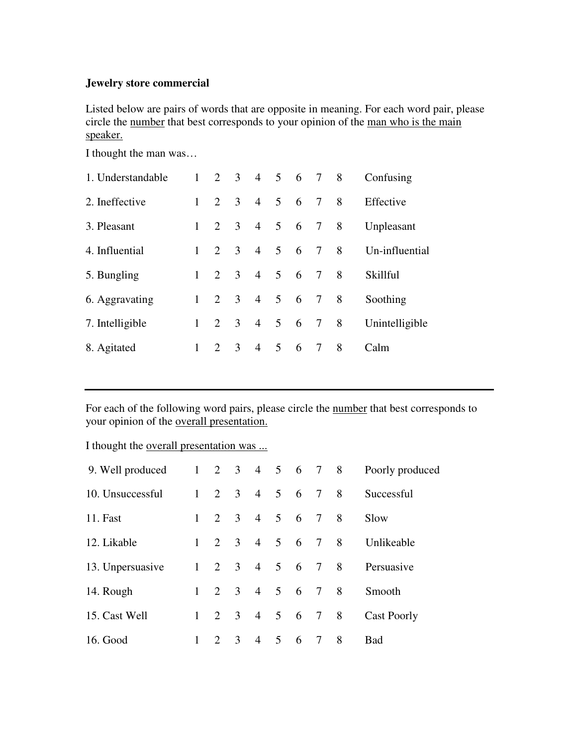## **Jewelry store commercial**

Listed below are pairs of words that are opposite in meaning. For each word pair, please circle the number that best corresponds to your opinion of the man who is the main speaker.

I thought the man was…

| 1. Understandable |           |                     |                | 2 3 4 5 6 7                 |             |     |         | 8 | Confusing      |
|-------------------|-----------|---------------------|----------------|-----------------------------|-------------|-----|---------|---|----------------|
| 2. Ineffective    |           | $1 \t2 \t3$         |                | $\overline{4}$              |             |     | 5 6 7 8 |   | Effective      |
| 3. Pleasant       |           | $1 \quad 2 \quad 3$ |                | 4 5 6 7 8                   |             |     |         |   | Unpleasant     |
| 4. Influential    | $1 \quad$ |                     | $2 \quad 3$    | $\overline{4}$              |             |     | 5 6 7   | 8 | Un-influential |
| 5. Bungling       |           |                     |                | $1 \t2 \t3 \t4 \t5 \t6 \t7$ |             |     |         | 8 | Skillful       |
| 6. Aggravating    |           | $1 \quad 2 \quad 3$ |                | 4 5 6 7                     |             |     |         | 8 | Soothing       |
| 7. Intelligible   |           |                     |                | $1 \t2 \t3 \t4$             |             |     | 5 6 7 8 |   | Unintelligible |
| 8. Agitated       |           | 2                   | $\overline{3}$ | $\overline{4}$              | $5^{\circ}$ | - 6 | 7       | 8 | Calm           |

For each of the following word pairs, please circle the number that best corresponds to your opinion of the overall presentation.

I thought the overall presentation was ...

| 9. Well produced |              | $1 \t2 \t3 \t4 \t5 \t6 \t7 \t8$ |     |            |   |   |     | Poorly produced |
|------------------|--------------|---------------------------------|-----|------------|---|---|-----|-----------------|
| 10. Unsuccessful |              | $1 \t2 \t3 \t4 \t5 \t6 \t7 \t8$ |     |            |   |   |     | Successful      |
| <b>11. Fast</b>  |              | $1 \t2 \t3 \t4 \t5 \t6 \t7 \t8$ |     |            |   |   |     | Slow            |
| 12. Likable      | $\mathbf{1}$ | 2 3 4 5 6 7 8                   |     |            |   |   |     | Unlikeable      |
| 13. Unpersuasive |              | $1 \t2 \t3 \t4 \t5 \t6 \t7 \t8$ |     |            |   |   |     | Persuasive      |
| 14. Rough        |              | $1 \t2 \t3 \t4 \t5 \t6 \t7 \t8$ |     |            |   |   |     | Smooth          |
| 15. Cast Well    | $\mathbf{1}$ |                                 | 2 3 | 4 5 6 7 8  |   |   |     | Cast Poorly     |
| 16. Good         | 1            | $\mathcal{D}_{\mathcal{L}}$     | 3   | $4\quad 5$ | 6 | 7 | - 8 | Bad             |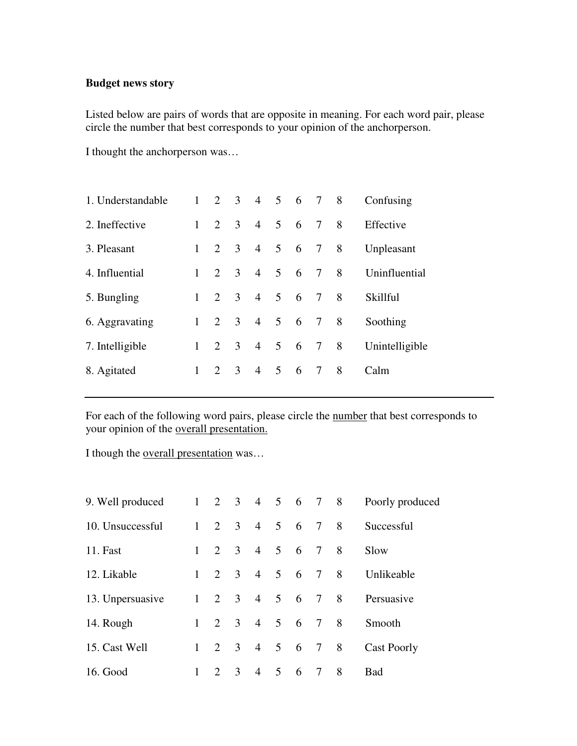# **Budget news story**

Listed below are pairs of words that are opposite in meaning. For each word pair, please circle the number that best corresponds to your opinion of the anchorperson.

I thought the anchorperson was…

|   |  |                                                                                                         |                                            |                                       |                 |                | Confusing                                                                     |
|---|--|---------------------------------------------------------------------------------------------------------|--------------------------------------------|---------------------------------------|-----------------|----------------|-------------------------------------------------------------------------------|
|   |  |                                                                                                         |                                            |                                       |                 |                | Effective                                                                     |
|   |  | $\overline{4}$                                                                                          |                                            |                                       |                 |                | Unpleasant                                                                    |
|   |  |                                                                                                         |                                            |                                       |                 |                | Uninfluential                                                                 |
|   |  |                                                                                                         |                                            |                                       |                 |                | Skillful                                                                      |
|   |  |                                                                                                         |                                            |                                       |                 |                | Soothing                                                                      |
|   |  | $\overline{4}$                                                                                          | $5^{\circ}$                                |                                       |                 |                | Unintelligible                                                                |
| 1 |  | $\overline{4}$                                                                                          |                                            |                                       |                 | -8             | Calm                                                                          |
|   |  | $1 \quad 2 \quad 3$<br>$1 \quad 2 \quad 3$<br>$1 \quad 2 \quad 3$<br>$1 \quad 2 \quad 3$<br>$2 \quad 3$ | $1 \quad 2 \quad 3$<br>$1 \quad 2 \quad 3$ | 4 5<br>$4 \quad 5$<br>$5\overline{)}$ | $6\overline{6}$ | $\overline{7}$ | 2 3 4 5 6 7 8<br>4 5 6 7 8<br>5 6 7 8<br>6 7 8<br>6 7 8<br>4 5 6 7 8<br>6 7 8 |

For each of the following word pairs, please circle the number that best corresponds to your opinion of the overall presentation.

I though the overall presentation was…

| 9. Well produced |   | $1 \t2 \t3 \t4 \t5 \t6 \t7 \t8$ |                |           |                     |                |                | Poorly produced |
|------------------|---|---------------------------------|----------------|-----------|---------------------|----------------|----------------|-----------------|
| 10. Unsuccessful |   | $1 \quad 2 \quad 3$             |                | 4 5 6 7 8 |                     |                |                | Successful      |
| 11. Fast         |   | $1 \quad 2 \quad 3$             |                | 4 5 6 7 8 |                     |                |                | Slow            |
| 12. Likable      |   | $1 \t2 \t3 \t4 \t5 \t6 \t7 \t8$ |                |           |                     |                |                | Unlikeable      |
| 13. Unpersuasive |   | $1 \t2 \t3 \t4 \t5 \t6 \t7 \t8$ |                |           |                     |                |                | Persuasive      |
| 14. Rough        |   | $1 \t2 \t3 \t4 \t5 \t6 \t7 \t8$ |                |           |                     |                |                | Smooth          |
| 15. Cast Well    | 1 | 2 3                             |                | 4 5 6 7 8 |                     |                |                | Cast Poorly     |
| 16. Good         |   | $\mathcal{D}_{\cdot}$           | $\overline{3}$ |           | $4 \quad 5 \quad 6$ | $\overline{7}$ | 8 <sup>8</sup> | Bad             |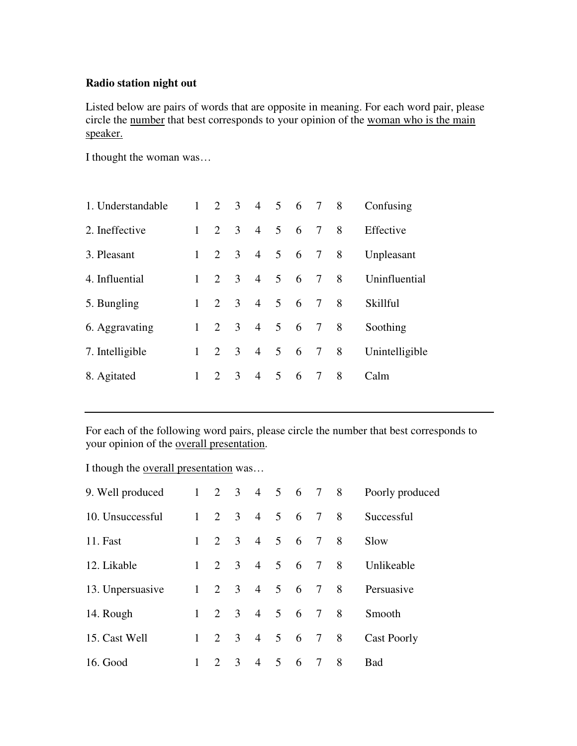# **Radio station night out**

Listed below are pairs of words that are opposite in meaning. For each word pair, please circle the number that best corresponds to your opinion of the woman who is the main speaker.

I thought the woman was…

| 1. Understandable |   | $1 \t2 \t3 \t4 \t5 \t6 \t7 \t8$ |               |                |                |       |           |                | Confusing      |
|-------------------|---|---------------------------------|---------------|----------------|----------------|-------|-----------|----------------|----------------|
| 2. Ineffective    |   | $1 \quad 2 \quad 3$             |               | $\overline{4}$ | 5 6 7          |       |           | 8 <sup>8</sup> | Effective      |
| 3. Pleasant       |   | $1 \quad 2 \quad 3$             |               | $\overline{4}$ |                | 5 6 7 |           | 8              | Unpleasant     |
| 4. Influential    |   | $1 \t2 \t3$                     |               | $\overline{4}$ | $5\phantom{0}$ | 6 7   |           | 8              | Uninfluential  |
| 5. Bungling       |   | $1 \t2 \t3$                     |               | $\overline{4}$ | 5 6 7          |       |           | 8              | Skillful       |
| 6. Aggravating    |   | $1 \quad 2 \quad 3$             |               |                |                |       | 4 5 6 7 8 |                | Soothing       |
| 7. Intelligible   |   | $1 \t2 \t3$                     |               | $\overline{4}$ | 5 6 7          |       |           | 8 <sup>8</sup> | Unintelligible |
| 8. Agitated       | 1 | $\mathcal{D}_{\mathcal{L}}$     | $\mathcal{E}$ | $\overline{4}$ | $\mathfrak{S}$ | 6     | 7         | -8             | Calm           |

For each of the following word pairs, please circle the number that best corresponds to your opinion of the overall presentation.

I though the overall presentation was…

| 9. Well produced |              | $1 \t2 \t3 \t4 \t5 \t6 \t7 \t8$ |                |           |             |   |   |     | Poorly produced    |
|------------------|--------------|---------------------------------|----------------|-----------|-------------|---|---|-----|--------------------|
| 10. Unsuccessful |              | $1 \t2 \t3 \t4 \t5 \t6 \t7 \t8$ |                |           |             |   |   |     | Successful         |
| 11. Fast         | $\mathbf{1}$ | 2 3                             |                | 4 5 6 7 8 |             |   |   |     | Slow               |
| 12. Likable      | $\mathbf{1}$ | $\overline{2}$                  | $\overline{3}$ | 4 5 6 7 8 |             |   |   |     | Unlikeable         |
| 13. Unpersuasive |              | $1 \t2 \t3 \t4 \t5 \t6 \t7 \t8$ |                |           |             |   |   |     | Persuasive         |
| 14. Rough        |              | $1 \quad 2 \quad 3$             |                | 4 5 6 7 8 |             |   |   |     | Smooth             |
| 15. Cast Well    | $\mathbf{1}$ | 2 3                             |                | 4 5 6 7 8 |             |   |   |     | <b>Cast Poorly</b> |
| 16. Good         |              | $\mathcal{D}_{\cdot}$           | $\overline{3}$ |           | $4 \quad 5$ | 6 | 7 | - 8 | <b>Bad</b>         |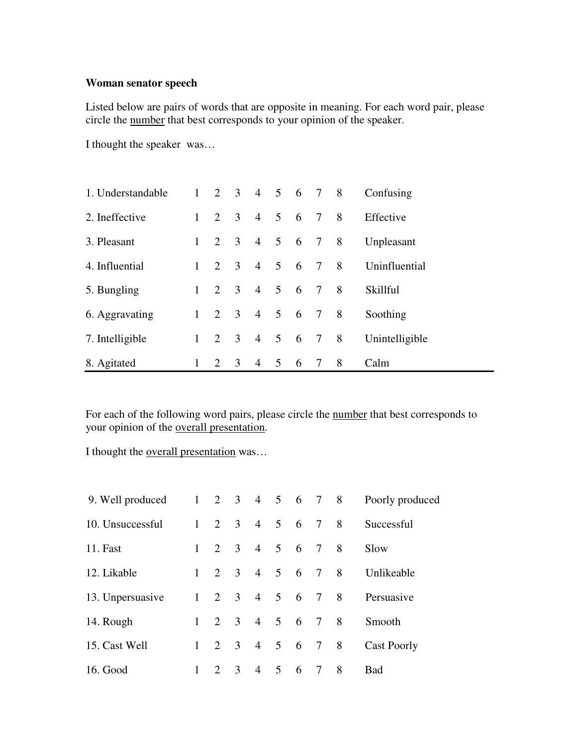#### **Woman senator speech**

Listed below are pairs of words that are opposite in meaning. For each word pair, please circle the number that best corresponds to your opinion of the speaker.

I thought the speaker was…

| 1. Understandable | $\mathbf{1}$ |                             |                         | 2 3 4 5 6 7 8  |                 |                 |                |                | Confusing      |
|-------------------|--------------|-----------------------------|-------------------------|----------------|-----------------|-----------------|----------------|----------------|----------------|
| 2. Ineffective    | $\mathbf{1}$ | $\mathcal{D}_{\mathcal{L}}$ | $\overline{3}$          | $\overline{4}$ | $\mathfrak{H}$  | $6\overline{6}$ | 7 8            |                | Effective      |
| 3. Pleasant       | $\mathbf{1}$ | 2                           | $\overline{3}$          | $\overline{4}$ | $5\overline{)}$ | 6 7 8           |                |                | Unpleasant     |
| 4. Influential    | 1            | $\overline{2}$              | $\overline{3}$          | $\overline{4}$ | 5 <sup>1</sup>  | $6\overline{6}$ | $\overline{7}$ | 8              | Uninfluential  |
| 5. Bungling       | $\mathbf{1}$ | 2                           | $\overline{\mathbf{3}}$ | $4\quad 5$     |                 | $6\overline{6}$ | $\overline{7}$ | 8              | Skillful       |
| 6. Aggravating    | $1\quad 2$   |                             | $\overline{\mathbf{3}}$ | $4\quad 5$     |                 | $6\overline{6}$ | $\overline{7}$ | 8 <sup>8</sup> | Soothing       |
| 7. Intelligible   | $\mathbf{1}$ | $\mathcal{D}_{\mathcal{L}}$ | $\overline{3}$          | $\overline{4}$ | $5^{\circ}$     | 6 7 8           |                |                | Unintelligible |
| 8. Agitated       | 1            | 2                           | 3                       | $\overline{4}$ | 5               | 6               | 7              | 8              | Calm           |

For each of the following word pairs, please circle the number that best corresponds to your opinion of the overall presentation.

I thought the overall presentation was…

| 9. Well produced |              |                                 |                |           |                     |                | $1 \t2 \t3 \t4 \t5 \t6 \t7 \t8$ | Poorly produced |
|------------------|--------------|---------------------------------|----------------|-----------|---------------------|----------------|---------------------------------|-----------------|
| 10. Unsuccessful |              | $1 \quad 2 \quad 3$             |                | 4 5 6 7 8 |                     |                |                                 | Successful      |
| 11. Fast         |              | $1 \quad 2$                     | $\overline{3}$ | 4 5 6 7 8 |                     |                |                                 | Slow            |
| 12. Likable      |              | $1 \t2 \t3 \t4 \t5 \t6 \t7 \t8$ |                |           |                     |                |                                 | Unlikeable      |
| 13. Unpersuasive |              | $1 \t2 \t3 \t4 \t5 \t6 \t7 \t8$ |                |           |                     |                |                                 | Persuasive      |
| 14. Rough        |              | $1 \t2 \t3 \t4 \t5 \t6 \t7 \t8$ |                |           |                     |                |                                 | Smooth          |
| 15. Cast Well    | $\mathbf{1}$ |                                 | $2 \quad 3$    | 4 5 6 7 8 |                     |                |                                 | Cast Poorly     |
| 16. Good         |              | $\mathcal{D}_{\cdot}$           | $\overline{3}$ |           | $4 \quad 5 \quad 6$ | $\overline{7}$ | 8 <sup>8</sup>                  | <b>Bad</b>      |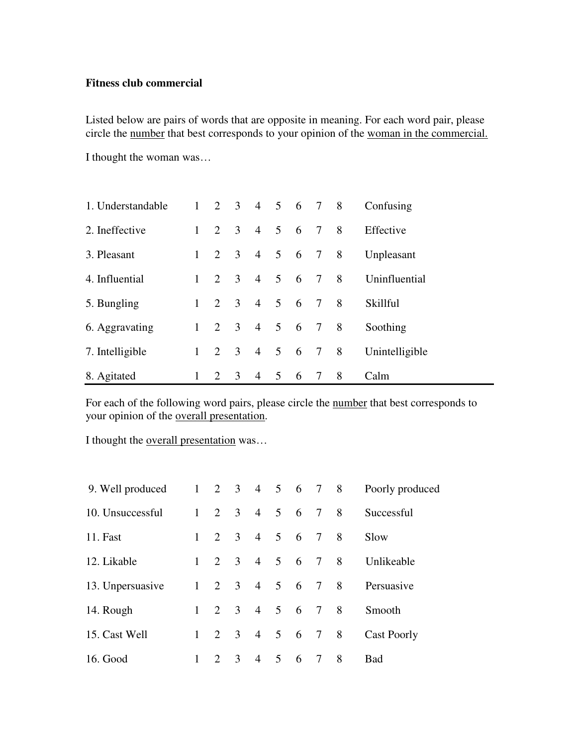#### **Fitness club commercial**

Listed below are pairs of words that are opposite in meaning. For each word pair, please circle the number that best corresponds to your opinion of the woman in the commercial.

I thought the woman was…

| 1. Understandable |              |                     |     | $1 \t2 \t3 \t4 \t5 \t6 \t7 \t8$ |                |           |   |   | Confusing      |
|-------------------|--------------|---------------------|-----|---------------------------------|----------------|-----------|---|---|----------------|
| 2. Ineffective    | $\mathbf{1}$ | $2 \quad 3$         |     | 4 5 6 7 8                       |                |           |   |   | Effective      |
| 3. Pleasant       | $1 \quad$    | $2 \quad 3$         |     | 4 5 6 7 8                       |                |           |   |   | Unpleasant     |
| 4. Influential    | $\mathbf{1}$ | $2 \quad 3$         |     | 4 5 6 7 8                       |                |           |   |   | Uninfluential  |
| 5. Bungling       |              | $1 \quad 2 \quad 3$ |     | 4 5 6 7 8                       |                |           |   |   | Skillful       |
| 6. Aggravating    | $\mathbf{1}$ | 2 3                 |     | 4 5 6 7 8                       |                |           |   |   | Soothing       |
| 7. Intelligible   | $\mathbf{1}$ | 2 3                 |     |                                 |                | 4 5 6 7 8 |   |   | Unintelligible |
| 8. Agitated       | 1            | 2                   | - 3 | $\overline{4}$                  | $\overline{5}$ | -6        | 7 | 8 | Calm           |

For each of the following word pairs, please circle the number that best corresponds to your opinion of the overall presentation.

I thought the <u>overall presentation</u> was...

| 9. Well produced |   | $1 \t2 \t3 \t4 \t5 \t6 \t7 \t8$ |                |               |     |                 |                |     | Poorly produced |
|------------------|---|---------------------------------|----------------|---------------|-----|-----------------|----------------|-----|-----------------|
| 10. Unsuccessful |   | $1 \quad 2 \quad 3$             |                | 4 5 6 7 8     |     |                 |                |     | Successful      |
| <b>11. Fast</b>  | 1 | 2                               | $\overline{3}$ | 4 5 6 7 8     |     |                 |                |     | Slow            |
| 12. Likable      | 1 |                                 |                | 2 3 4 5 6 7 8 |     |                 |                |     | Unlikeable      |
| 13. Unpersuasive |   | $1 \t2 \t3 \t4 \t5 \t6 \t7 \t8$ |                |               |     |                 |                |     | Persuasive      |
| 14. Rough        |   | $1 \quad 2 \quad 3$             |                | 4 5 6 7 8     |     |                 |                |     | Smooth          |
| 15. Cast Well    |   | $1 \quad 2 \quad 3$             |                | 4 5 6 7 8     |     |                 |                |     | Cast Poorly     |
| 16. Good         |   | 2                               | $\overline{3}$ |               | 4 5 | $6\overline{6}$ | $\overline{7}$ | - 8 | <b>Bad</b>      |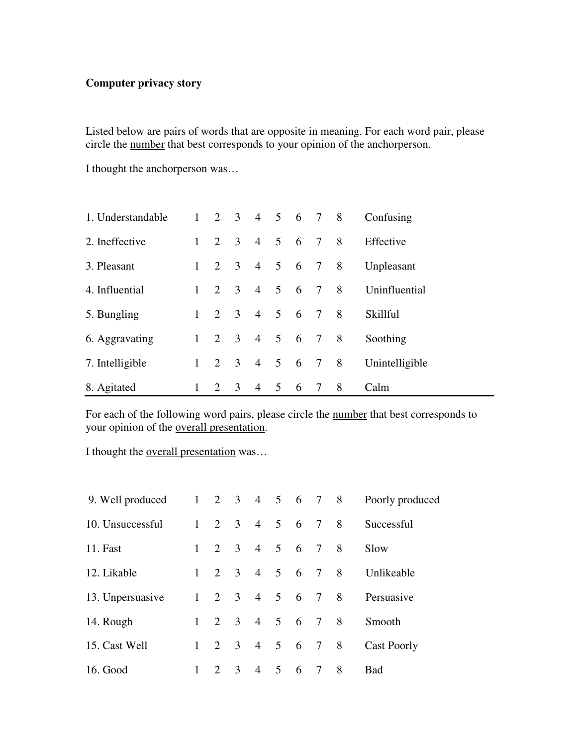# **Computer privacy story**

Listed below are pairs of words that are opposite in meaning. For each word pair, please circle the number that best corresponds to your opinion of the anchorperson.

I thought the anchorperson was…

| 1. Understandable |              | $1 \t2 \t3 \t4 \t5 \t6 \t7 \t8$ |   |                |         |   |   |     | Confusing      |
|-------------------|--------------|---------------------------------|---|----------------|---------|---|---|-----|----------------|
| 2. Ineffective    |              | $1 \quad 2 \quad 3$             |   |                | 4 5 6 7 |   |   | - 8 | Effective      |
| 3. Pleasant       | $\mathbf{1}$ | 2 3                             |   |                | 4 5 6 7 |   |   | 8   | Unpleasant     |
| 4. Influential    |              | $1 \t2 \t3$                     |   |                | 4 5 6 7 |   |   | - 8 | Uninfluential  |
| 5. Bungling       |              | $1 \t2 \t3$                     |   |                | 4 5 6 7 |   |   | -8  | Skillful       |
| 6. Aggravating    |              | $1 \t2 \t3 \t4 \t5 \t6 \t7$     |   |                |         |   |   | -8  | Soothing       |
| 7. Intelligible   |              | $1 \quad 2 \quad 3$             |   |                | 4 5 6 7 |   |   | 8   | Unintelligible |
| 8. Agitated       |              | 2                               | 3 | $\overline{4}$ | 5       | 6 | 7 | 8   | Calm           |

For each of the following word pairs, please circle the number that best corresponds to your opinion of the overall presentation.

I thought the overall presentation was…

| 9. Well produced |              | $1 \t2 \t3 \t4 \t5 \t6 \t7 \t8$ |             |                |            |                |     | Poorly produced    |
|------------------|--------------|---------------------------------|-------------|----------------|------------|----------------|-----|--------------------|
| 10. Unsuccessful |              | $1 \quad 2 \quad 3$             |             | 4 5 6 7 8      |            |                |     | Successful         |
| <b>11. Fast</b>  | 1            |                                 |             | 2 3 4 5 6 7 8  |            |                |     | Slow               |
| 12. Likable      | $\mathbf{1}$ |                                 |             | 2 3 4 5 6 7 8  |            |                |     | Unlikeable         |
| 13. Unpersuasive |              | $1 \t2 \t3 \t4 \t5 \t6 \t7 \t8$ |             |                |            |                |     | Persuasive         |
| 14. Rough        |              | $1 \t2 \t3 \t4 \t5 \t6 \t7 \t8$ |             |                |            |                |     | Smooth             |
| 15. Cast Well    | $\mathbf{1}$ |                                 | $2 \quad 3$ | 4 5 6 7 8      |            |                |     | <b>Cast Poorly</b> |
| 16. Good         | 1            | 2                               | 3           | $\overline{4}$ | $5\quad 6$ | $\overline{7}$ | - 8 | Bad                |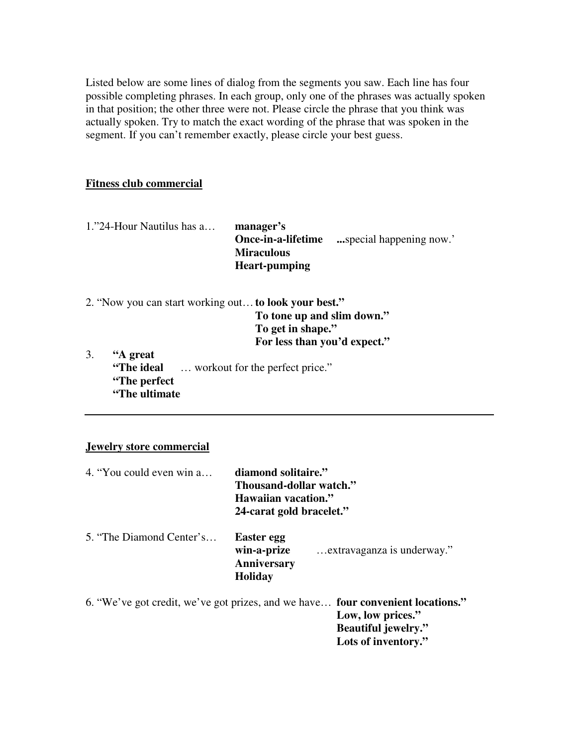Listed below are some lines of dialog from the segments you saw. Each line has four possible completing phrases. In each group, only one of the phrases was actually spoken in that position; the other three were not. Please circle the phrase that you think was actually spoken. Try to match the exact wording of the phrase that was spoken in the segment. If you can't remember exactly, please circle your best guess.

#### **Fitness club commercial**

| 1."24-Hour Nautilus has a | manager's            |                        |
|---------------------------|----------------------|------------------------|
|                           | Once-in-a-lifetime   | special happening now. |
|                           | <b>Miraculous</b>    |                        |
|                           | <b>Heart-pumping</b> |                        |

- 2. "Now you can start working out…**to look your best." To tone up and slim down." To get in shape." For less than you'd expect."**
- 3. **"A great "The ideal** … workout for the perfect price." **"The perfect "The ultimate**

#### **Jewelry store commercial**

| 4. "You could even win a | diamond solitaire."<br>Thousand-dollar watch."<br>Hawaiian vacation."<br>24-carat gold bracelet."                                  |
|--------------------------|------------------------------------------------------------------------------------------------------------------------------------|
| 5. "The Diamond Center's | Easter egg<br>win-a-prize<br>extravaganza is underway."<br>Anniversary<br><b>Holiday</b>                                           |
|                          | 6. "We've got credit, we've got prizes, and we have <b>four convenient locations."</b><br>Low, low prices."<br>Reautiful jewelry " |

**Beautiful jewelry." Lots of inventory."**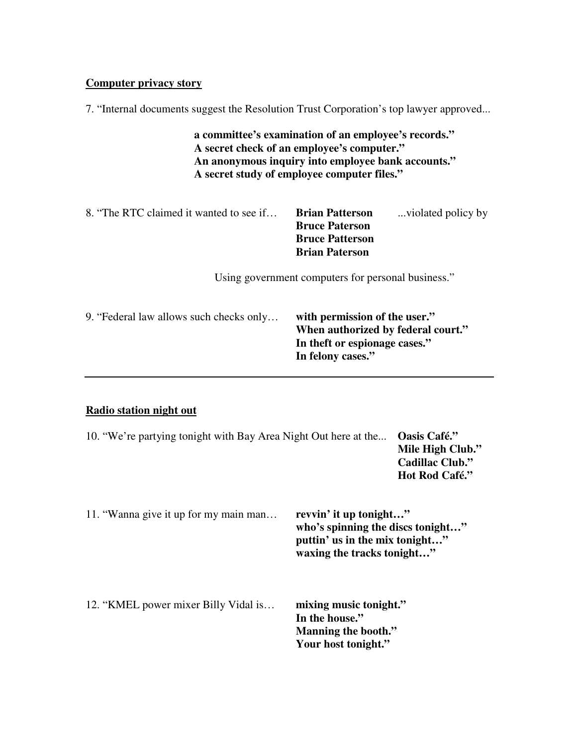#### **Computer privacy story**

7. "Internal documents suggest the Resolution Trust Corporation's top lawyer approved...

**a committee's examination of an employee's records." A secret check of an employee's computer." An anonymous inquiry into employee bank accounts." A secret study of employee computer files."**

| 8. "The RTC claimed it wanted to see if | <b>Brian Patterson</b> | violated policy by |
|-----------------------------------------|------------------------|--------------------|
|                                         | <b>Bruce Paterson</b>  |                    |
|                                         | <b>Bruce Patterson</b> |                    |
|                                         | <b>Brian Paterson</b>  |                    |

Using government computers for personal business."

| 9. "Federal law allows such checks only | with permission of the user."<br>When authorized by federal court."<br>In the ft or espionage cases." |
|-----------------------------------------|-------------------------------------------------------------------------------------------------------|
|                                         | In felony cases."                                                                                     |

## **Radio station night out**

| 10. "We're partying tonight with Bay Area Night Out here at the |                                                                                                                             | Oasis Café."<br>Mile High Club."<br><b>Cadillac Club."</b><br>Hot Rod Café." |
|-----------------------------------------------------------------|-----------------------------------------------------------------------------------------------------------------------------|------------------------------------------------------------------------------|
| 11. "Wanna give it up for my main man                           | revvin' it up tonight"<br>who's spinning the discs tonight"<br>puttin' us in the mix tonight"<br>waxing the tracks tonight" |                                                                              |

| 12. "KMEL power mixer Billy Vidal is | mixing music tonight." |
|--------------------------------------|------------------------|
|                                      | In the house."         |
|                                      | Manning the booth."    |
|                                      | Your host tonight."    |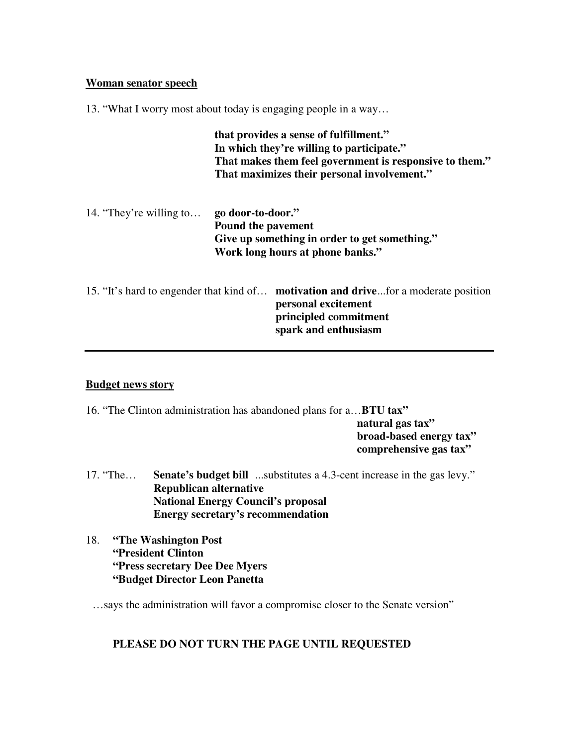#### **Woman senator speech**

13. "What I worry most about today is engaging people in a way…

|                         |                                         | that provides a sense of fulfillment."<br>In which they're willing to participate."<br>That makes them feel government is responsive to them."<br>That maximizes their personal involvement." |
|-------------------------|-----------------------------------------|-----------------------------------------------------------------------------------------------------------------------------------------------------------------------------------------------|
| 14. "They're willing to | go door-to-door."<br>Pound the pavement | Give up something in order to get something."<br>Work long hours at phone banks."                                                                                                             |
|                         |                                         | 15. "It's hard to engender that kind of <b>motivation and drive</b> for a moderate position<br>personal excitement<br>principled commitment<br>spark and enthusiasm                           |

# **Budget news story**

| 16. "The Clinton administration has abandoned plans for a <b>BTU tax</b> " |                         |
|----------------------------------------------------------------------------|-------------------------|
|                                                                            | natural gas tax"        |
|                                                                            | broad-based energy tax" |
|                                                                            | comprehensive gas tax"  |

- 17. "The… **Senate's budget bill** ...substitutes a 4.3-cent increase in the gas levy." **Republican alternative National Energy Council's proposal Energy secretary's recommendation**
- 18. **"The Washington Post "President Clinton "Press secretary Dee Dee Myers "Budget Director Leon Panetta**

…says the administration will favor a compromise closer to the Senate version"

# **PLEASE DO NOT TURN THE PAGE UNTIL REQUESTED**